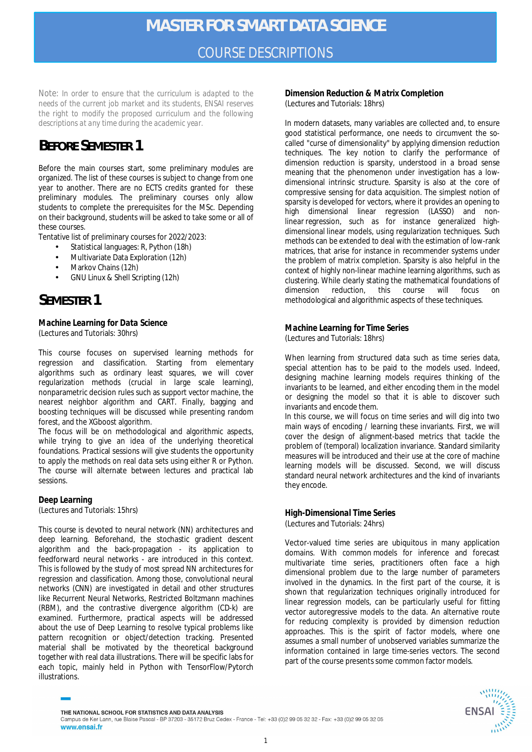*Note: In order to ensure that the curriculum is adapted to the needs of the current job market and its students, ENSAI reserves the right to modify the proposed curriculum and the following descriptions at any time during the academic year.*

# **BEFORE SEMESTER 1**

Before the main courses start, some preliminary modules are organized. The list of these courses is subject to change from one year to another. There are no ECTS credits granted for these preliminary modules. The preliminary courses only allow students to complete the prerequisites for the MSc. Depending on their background, students will be asked to take some or all of these courses.

Tentative list of preliminary courses for 2022/2023:

- Statistical languages: R, Python (18h)
- Multivariate Data Exploration (12h)
- Markov Chains (12h)
- GNU Linux & Shell Scripting (12h)

## **SEMESTER 1**

*Machine Learning for Data Science* (Lectures and Tutorials: 30hrs)

This course focuses on supervised learning methods for regression and classification. Starting from elementary algorithms such as ordinary least squares, we will cover regularization methods (crucial in large scale learning), nonparametric decision rules such as *support vector machine*, the *nearest neighbor* algorithm and *CART*. Finally, bagging and boosting techniques will be discussed while presenting random forest, and the XGboost algorithm.

The focus will be on methodological and algorithmic aspects, while trying to give an idea of the underlying theoretical foundations. Practical sessions will give students the opportunity to apply the methods on real data sets using either R or Python. The course will alternate between lectures and practical lab sessions.

### *Deep Learning*

(Lectures and Tutorials: 15hrs)

This course is devoted to neural network (NN) architectures and deep learning. Beforehand, the stochastic gradient descent algorithm and the back-propagation - its application to feedforward neural networks - are introduced in this context. This is followed by the study of most spread NN architectures for regression and classification. Among those, convolutional neural networks (CNN) are investigated in detail and other structures like Recurrent Neural Networks, Restricted Boltzmann machines (RBM), and the contrastive divergence algorithm (CD-k) are examined. Furthermore, practical aspects will be addressed about the use of Deep Learning to resolve typical problems like pattern recognition or object/detection tracking. Presented material shall be motivated by the theoretical background together with real data illustrations. There will be specific labs for each topic, mainly held in Python with TensorFlow/Pytorch illustrations.

*Dimension Reduction & Matrix Completion* (Lectures and Tutorials: 18hrs)

In modern datasets, many variables are collected and, to ensure good statistical performance, one needs to circumvent the socalled "curse of dimensionality" by applying dimension reduction techniques. The key notion to clarify the performance of dimension reduction is sparsity, understood in a broad sense meaning that the phenomenon under investigation has a lowdimensional intrinsic structure. Sparsity is also at the core of compressive sensing for data acquisition. The simplest notion of sparsity is developed for vectors, where it provides an opening to high dimensional linear regression (LASSO) and nonlinear regression, such as for instance generalized highdimensional linear models, using regularization techniques. Such methods can be extended to deal with the estimation of low-rank matrices, that arise for instance in recommender systems under the problem of matrix completion. Sparsity is also helpful in the context of highly non-linear machine learning algorithms, such as clustering. While clearly stating the mathematical foundations of dimension reduction, this course will focus on methodological and algorithmic aspects of these techniques.

#### *Machine Learning for Time Series* (Lectures and Tutorials: 18hrs)

When learning from structured data such as time series data, special attention has to be paid to the models used. Indeed, designing machine learning models requires thinking of the invariants to be learned, and either encoding them in the model or designing the model so that it is able to discover such invariants and encode them.

In this course, we will focus on time series and will dig into two main ways of encoding / learning these invariants. First, we will cover the design of alignment-based metrics that tackle the problem of (temporal) localization invariance. Standard similarity measures will be introduced and their use at the core of machine learning models will be discussed. Second, we will discuss standard neural network architectures and the kind of invariants they encode.

#### *High-Dimensional Time Series* (Lectures and Tutorials: 24hrs)

Vector-valued time series are ubiquitous in many application domains. With common models for inference and forecast multivariate time series, practitioners often face a high dimensional problem due to the large number of parameters involved in the dynamics. In the first part of the course, it is shown that regularization techniques originally introduced for linear regression models, can be particularly useful for fitting vector autoregressive models to the data. An alternative route for reducing complexity is provided by dimension reduction approaches. This is the spirit of factor models, where one assumes a small number of unobserved variables summarize the information contained in large time-series vectors. The second part of the course presents some common factor models.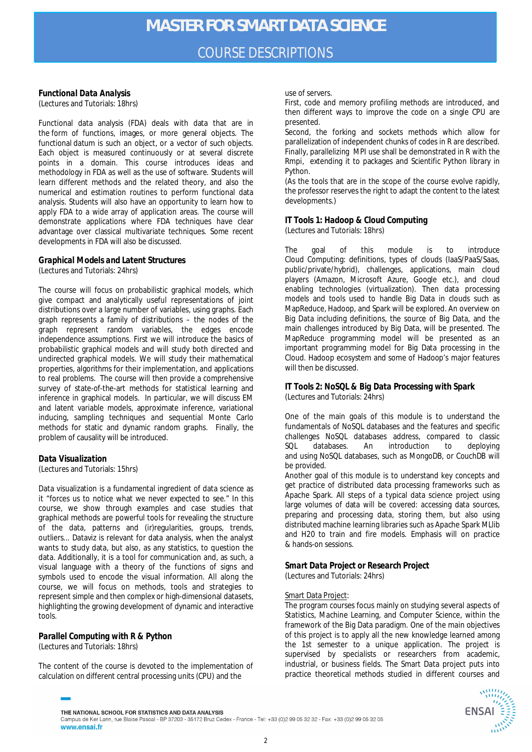## COURSE DESCRIPTIONS

#### *Functional Data Analysis* (Lectures and Tutorials: 18hrs)

Functional data analysis (FDA) deals with data that are in the form of functions, images, or more general objects. The functional datum is such an object, or a vector of such objects. Each object is measured continuously or at several discrete points in a domain. This course introduces ideas and methodology in FDA as well as the use of software. Students will learn different methods and the related theory, and also the numerical and estimation routines to perform functional data analysis. Students will also have an opportunity to learn how to apply FDA to a wide array of application areas. The course will demonstrate applications where FDA techniques have clear advantage over classical multivariate techniques. Some recent developments in FDA will also be discussed.

#### *Graphical Models and Latent Structures* (Lectures and Tutorials: 24hrs)

The course will focus on probabilistic graphical models, which give compact and analytically useful representations of joint distributions over a large number of variables, using graphs. Each graph represents a family of distributions – the nodes of the graph represent random variables, the edges encode independence assumptions. First we will introduce the basics of probabilistic graphical models and will study both directed and undirected graphical models. We will study their mathematical properties, algorithms for their implementation, and applications to real problems. The course will then provide a comprehensive survey of state-of-the-art methods for statistical learning and inference in graphical models. In particular, we will discuss EM and latent variable models, approximate inference, variational inducing, sampling techniques and sequential Monte Carlo methods for static and dynamic random graphs. Finally, the problem of causality will be introduced.

#### *Data Visualization*

(Lectures and Tutorials: 15hrs)

Data visualization is a fundamental ingredient of data science as it "forces us to notice what we never expected to see." In this course, we show through examples and case studies that graphical methods are powerful tools for revealing the structure of the data, patterns and (ir)regularities, groups, trends, outliers... Dataviz is relevant for data analysis, when the analyst wants to study data, but also, as any statistics, to question the data. Additionally, it is a tool for communication and, as such, a visual language with a theory of the functions of signs and symbols used to encode the visual information. All along the course, we will focus on methods, tools and strategies to represent simple and then complex or high-dimensional datasets, highlighting the growing development of dynamic and interactive tools.

#### *Parallel Computing with R & Python* (Lectures and Tutorials: 18hrs)

The content of the course is devoted to the implementation of calculation on different central processing units (CPU) and the

use of servers.

First, code and memory profiling methods are introduced, and then different ways to improve the code on a single CPU are presented.

Second, the forking and sockets methods which allow for parallelization of independent chunks of codes in R are described. Finally, parallelizing MPI use shall be demonstrated in R with the Rmpi, extending it to packages and Scientific Python library in Python.

(As the tools that are in the scope of the course evolve rapidly, the professor reserves the right to adapt the content to the latest developments.)

#### *IT Tools 1: Hadoop & Cloud Computing* (Lectures and Tutorials: 18hrs)

The goal of this module is to introduce Cloud Computing: definitions, types of clouds (IaaS/PaaS/Saas, public/private/hybrid), challenges, applications, main cloud players (Amazon, Microsoft Azure, Google etc.), and cloud enabling technologies (virtualization). Then data processing models and tools used to handle Big Data in clouds such as MapReduce, Hadoop, and Spark will be explored. An overview on Big Data including definitions, the source of Big Data, and the main challenges introduced by Big Data, will be presented. The MapReduce programming model will be presented as an important programming model for Big Data processing in the Cloud. Hadoop ecosystem and some of Hadoop's major features will then be discussed.

#### *IT Tools 2: NoSQL & Big Data Processing with Spark* (Lectures and Tutorials: 24hrs)

One of the main goals of this module is to understand the fundamentals of NoSQL databases and the features and specific challenges NoSQL databases address, compared to classic SQL databases. An introduction to deploying and using NoSQL databases, such as MongoDB, or CouchDB will be provided.

Another goal of this module is to understand key concepts and get practice of distributed data processing frameworks such as Apache Spark. All steps of a typical data science project using large volumes of data will be covered: accessing data sources, preparing and processing data, storing them, but also using distributed machine learning libraries such as Apache Spark MLlib and H20 to train and fire models. Emphasis will on practice & hands-on sessions.

#### *Smart Data Project or Research Project* (Lectures and Tutorials: 24hrs)

#### Smart Data Project:

The program courses focus mainly on studying several aspects of Statistics, Machine Learning, and Computer Science, within the framework of the Big Data paradigm. One of the main objectives of this project is to apply all the new knowledge learned among the 1st semester to a unique application. The project is supervised by specialists or researchers from academic, industrial, or business fields. The Smart Data project puts into practice theoretical methods studied in different courses and



THE NATIONAL SCHOOL FOR STATISTICS AND DATA ANALYSIS Campus de Ker Lann, rue Blaise Pascal - BP 37203 - 35172 Bruz Cedex - France - Tel: +33 (0)2 99 05 32 32 - Fax: +33 (0)2 99 05 32 05 www.ensai.fr